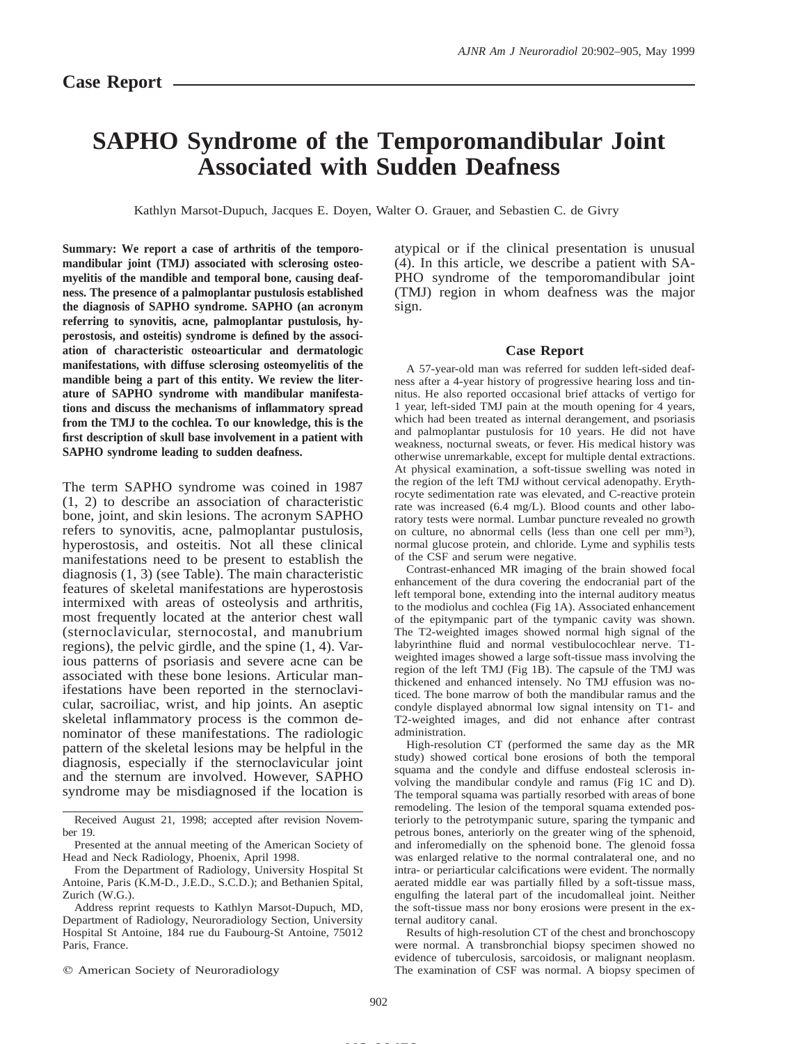# **SAPHO Syndrome of the Temporomandibular Joint Associated with Sudden Deafness**

Kathlyn Marsot-Dupuch, Jacques E. Doyen, Walter O. Grauer, and Sebastien C. de Givry

**Summary: We report a case of arthritis of the temporomandibular joint (TMJ) associated with sclerosing osteomyelitis of the mandible and temporal bone, causing deafness. The presence of a palmoplantar pustulosis established the diagnosis of SAPHO syndrome. SAPHO (an acronym referring to synovitis, acne, palmoplantar pustulosis, hyperostosis, and osteitis) syndrome is defined by the association of characteristic osteoarticular and dermatologic manifestations, with diffuse sclerosing osteomyelitis of the mandible being a part of this entity. We review the literature of SAPHO syndrome with mandibular manifestations and discuss the mechanisms of inflammatory spread from the TMJ to the cochlea. To our knowledge, this is the first description of skull base involvement in a patient with SAPHO syndrome leading to sudden deafness.**

The term SAPHO syndrome was coined in 1987 (1, 2) to describe an association of characteristic bone, joint, and skin lesions. The acronym SAPHO refers to synovitis, acne, palmoplantar pustulosis, hyperostosis, and osteitis. Not all these clinical manifestations need to be present to establish the diagnosis (1, 3) (see Table). The main characteristic features of skeletal manifestations are hyperostosis intermixed with areas of osteolysis and arthritis, most frequently located at the anterior chest wall (sternoclavicular, sternocostal, and manubrium regions), the pelvic girdle, and the spine (1, 4). Various patterns of psoriasis and severe acne can be associated with these bone lesions. Articular manifestations have been reported in the sternoclavicular, sacroiliac, wrist, and hip joints. An aseptic skeletal inflammatory process is the common denominator of these manifestations. The radiologic pattern of the skeletal lesions may be helpful in the diagnosis, especially if the sternoclavicular joint and the sternum are involved. However, SAPHO syndrome may be misdiagnosed if the location is

Received August 21, 1998; accepted after revision November 19.

From the Department of Radiology, University Hospital St Antoine, Paris (K.M-D., J.E.D., S.C.D.); and Bethanien Spital, Zurich (W.G.).

Address reprint requests to Kathlyn Marsot-Dupuch, MD, Department of Radiology, Neuroradiology Section, University Hospital St Antoine, 184 rue du Faubourg-St Antoine, 75012 Paris, France.

 $©$  American Society of Neuroradiology

atypical or if the clinical presentation is unusual (4). In this article, we describe a patient with SA-PHO syndrome of the temporomandibular joint (TMJ) region in whom deafness was the major sign.

#### **Case Report**

A 57-year-old man was referred for sudden left-sided deafness after a 4-year history of progressive hearing loss and tinnitus. He also reported occasional brief attacks of vertigo for 1 year, left-sided TMJ pain at the mouth opening for 4 years, which had been treated as internal derangement, and psoriasis and palmoplantar pustulosis for 10 years. He did not have weakness, nocturnal sweats, or fever. His medical history was otherwise unremarkable, except for multiple dental extractions. At physical examination, a soft-tissue swelling was noted in the region of the left TMJ without cervical adenopathy. Erythrocyte sedimentation rate was elevated, and C-reactive protein rate was increased (6.4 mg/L). Blood counts and other laboratory tests were normal. Lumbar puncture revealed no growth on culture, no abnormal cells (less than one cell per mm3), normal glucose protein, and chloride. Lyme and syphilis tests of the CSF and serum were negative.

Contrast-enhanced MR imaging of the brain showed focal enhancement of the dura covering the endocranial part of the left temporal bone, extending into the internal auditory meatus to the modiolus and cochlea (Fig 1A). Associated enhancement of the epitympanic part of the tympanic cavity was shown. The T2-weighted images showed normal high signal of the labyrinthine fluid and normal vestibulocochlear nerve. T1 weighted images showed a large soft-tissue mass involving the region of the left TMJ (Fig 1B). The capsule of the TMJ was thickened and enhanced intensely. No TMJ effusion was noticed. The bone marrow of both the mandibular ramus and the condyle displayed abnormal low signal intensity on T1- and T2-weighted images, and did not enhance after contrast administration.

High-resolution CT (performed the same day as the MR study) showed cortical bone erosions of both the temporal squama and the condyle and diffuse endosteal sclerosis involving the mandibular condyle and ramus (Fig 1C and D). The temporal squama was partially resorbed with areas of bone remodeling. The lesion of the temporal squama extended posteriorly to the petrotympanic suture, sparing the tympanic and petrous bones, anteriorly on the greater wing of the sphenoid, and inferomedially on the sphenoid bone. The glenoid fossa was enlarged relative to the normal contralateral one, and no intra- or periarticular calcifications were evident. The normally aerated middle ear was partially filled by a soft-tissue mass, engulfing the lateral part of the incudomalleal joint. Neither the soft-tissue mass nor bony erosions were present in the external auditory canal.

Results of high-resolution CT of the chest and bronchoscopy were normal. A transbronchial biopsy specimen showed no evidence of tuberculosis, sarcoidosis, or malignant neoplasm. The examination of CSF was normal. A biopsy specimen of

Presented at the annual meeting of the American Society of Head and Neck Radiology, Phoenix, April 1998.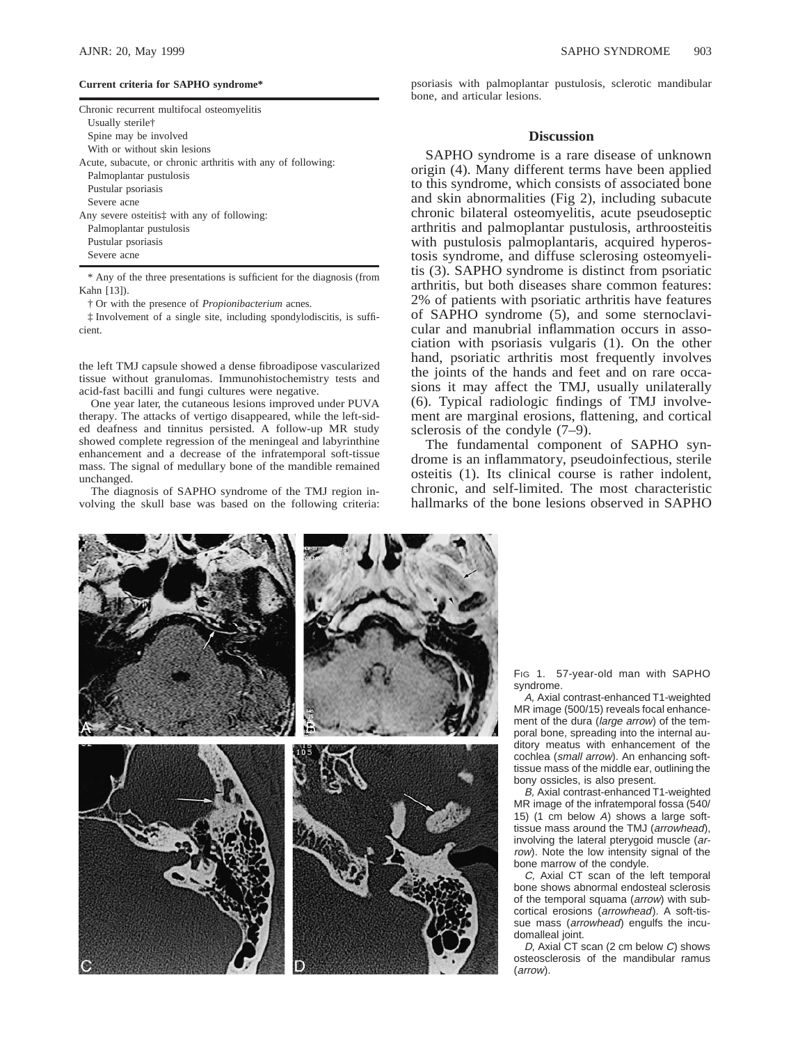#### **Current criteria for SAPHO syndrome\***

| Chronic recurrent multifocal osteomyelitis                      |
|-----------------------------------------------------------------|
| Usually sterile <sup>†</sup>                                    |
| Spine may be involved                                           |
| With or without skin lesions                                    |
| Acute, subacute, or chronic arthritis with any of following:    |
| Palmoplantar pustulosis                                         |
| Pustular psoriasis                                              |
| Severe acne                                                     |
| Any severe osteitist with any of following:                     |
| Palmoplantar pustulosis                                         |
| Pustular psoriasis                                              |
| Severe acne                                                     |
| A August of the those concerning to cofficient for the disease. |

\* Any of the three presentations is sufficient for the diagnosis (from Kahn [13]).

† Or with the presence of *Propionibacterium* acnes.

‡ Involvement of a single site, including spondylodiscitis, is sufficient.

the left TMJ capsule showed a dense fibroadipose vascularized tissue without granulomas. Immunohistochemistry tests and acid-fast bacilli and fungi cultures were negative.

One year later, the cutaneous lesions improved under PUVA therapy. The attacks of vertigo disappeared, while the left-sided deafness and tinnitus persisted. A follow-up MR study showed complete regression of the meningeal and labyrinthine enhancement and a decrease of the infratemporal soft-tissue mass. The signal of medullary bone of the mandible remained unchanged.

The diagnosis of SAPHO syndrome of the TMJ region involving the skull base was based on the following criteria: psoriasis with palmoplantar pustulosis, sclerotic mandibular bone, and articular lesions.

#### **Discussion**

SAPHO syndrome is a rare disease of unknown origin (4). Many different terms have been applied to this syndrome, which consists of associated bone and skin abnormalities (Fig 2), including subacute chronic bilateral osteomyelitis, acute pseudoseptic arthritis and palmoplantar pustulosis, arthroosteitis with pustulosis palmoplantaris, acquired hyperostosis syndrome, and diffuse sclerosing osteomyelitis (3). SAPHO syndrome is distinct from psoriatic arthritis, but both diseases share common features: 2% of patients with psoriatic arthritis have features of SAPHO syndrome (5), and some sternoclavicular and manubrial inflammation occurs in association with psoriasis vulgaris (1). On the other hand, psoriatic arthritis most frequently involves the joints of the hands and feet and on rare occasions it may affect the TMJ, usually unilaterally (6). Typical radiologic findings of TMJ involvement are marginal erosions, flattening, and cortical sclerosis of the condyle (7–9).

The fundamental component of SAPHO syndrome is an inflammatory, pseudoinfectious, sterile osteitis (1). Its clinical course is rather indolent, chronic, and self-limited. The most characteristic hallmarks of the bone lesions observed in SAPHO



FIG 1. 57-year-old man with SAPHO syndrome.

A, Axial contrast-enhanced T1-weighted MR image (500/15) reveals focal enhancement of the dura (large arrow) of the temporal bone, spreading into the internal auditory meatus with enhancement of the cochlea (small arrow). An enhancing softtissue mass of the middle ear, outlining the bony ossicles, is also present.

B, Axial contrast-enhanced T1-weighted MR image of the infratemporal fossa (540/ 15) (1 cm below A) shows a large softtissue mass around the TMJ (arrowhead), involving the lateral pterygoid muscle (arrow). Note the low intensity signal of the bone marrow of the condyle.

C, Axial CT scan of the left temporal bone shows abnormal endosteal sclerosis of the temporal squama (arrow) with subcortical erosions (arrowhead). A soft-tissue mass (arrowhead) engulfs the incudomalleal joint.

D, Axial CT scan (2 cm below C) shows osteosclerosis of the mandibular ramus (arrow).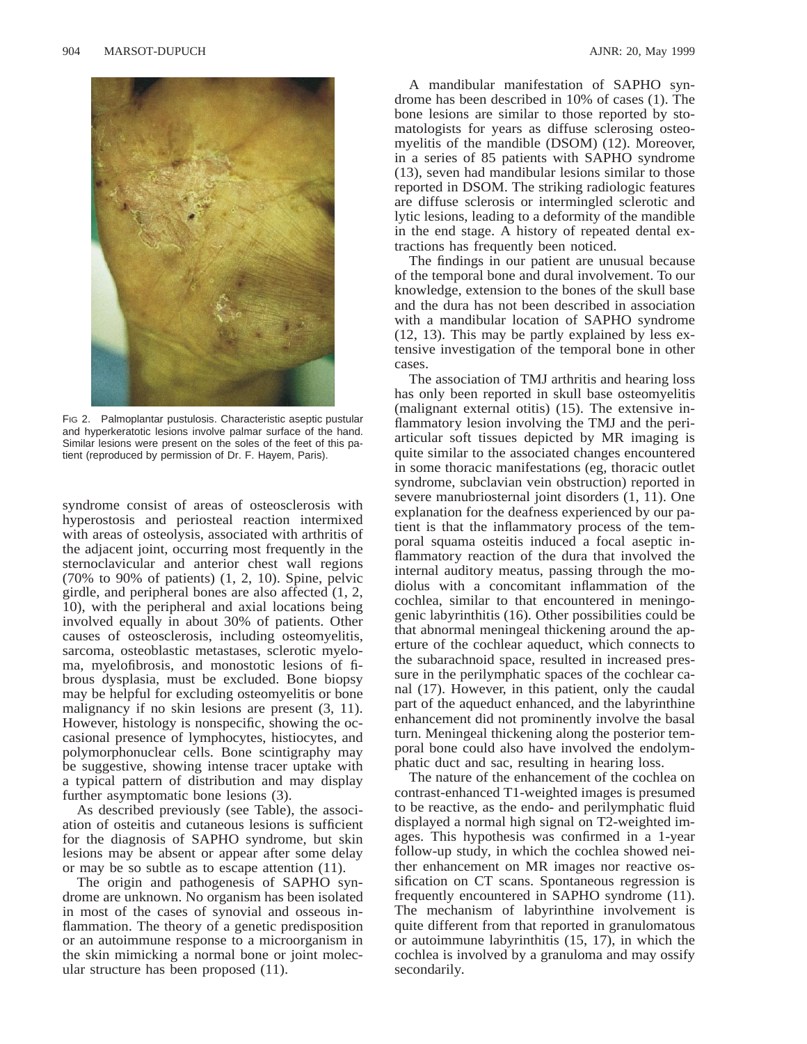

FIG 2. Palmoplantar pustulosis. Characteristic aseptic pustular and hyperkeratotic lesions involve palmar surface of the hand. Similar lesions were present on the soles of the feet of this patient (reproduced by permission of Dr. F. Hayem, Paris).

syndrome consist of areas of osteosclerosis with hyperostosis and periosteal reaction intermixed with areas of osteolysis, associated with arthritis of the adjacent joint, occurring most frequently in the sternoclavicular and anterior chest wall regions (70% to 90% of patients) (1, 2, 10). Spine, pelvic girdle, and peripheral bones are also affected (1, 2, 10), with the peripheral and axial locations being involved equally in about 30% of patients. Other causes of osteosclerosis, including osteomyelitis, sarcoma, osteoblastic metastases, sclerotic myeloma, myelofibrosis, and monostotic lesions of fibrous dysplasia, must be excluded. Bone biopsy may be helpful for excluding osteomyelitis or bone malignancy if no skin lesions are present  $(3, 11)$ . However, histology is nonspecific, showing the occasional presence of lymphocytes, histiocytes, and polymorphonuclear cells. Bone scintigraphy may be suggestive, showing intense tracer uptake with a typical pattern of distribution and may display further asymptomatic bone lesions (3).

As described previously (see Table), the association of osteitis and cutaneous lesions is sufficient for the diagnosis of SAPHO syndrome, but skin lesions may be absent or appear after some delay or may be so subtle as to escape attention (11).

The origin and pathogenesis of SAPHO syndrome are unknown. No organism has been isolated in most of the cases of synovial and osseous inflammation. The theory of a genetic predisposition or an autoimmune response to a microorganism in the skin mimicking a normal bone or joint molecular structure has been proposed (11).

A mandibular manifestation of SAPHO syndrome has been described in 10% of cases (1). The bone lesions are similar to those reported by stomatologists for years as diffuse sclerosing osteomyelitis of the mandible (DSOM) (12). Moreover, in a series of 85 patients with SAPHO syndrome (13), seven had mandibular lesions similar to those reported in DSOM. The striking radiologic features are diffuse sclerosis or intermingled sclerotic and lytic lesions, leading to a deformity of the mandible in the end stage. A history of repeated dental extractions has frequently been noticed.

The findings in our patient are unusual because of the temporal bone and dural involvement. To our knowledge, extension to the bones of the skull base and the dura has not been described in association with a mandibular location of SAPHO syndrome (12, 13). This may be partly explained by less extensive investigation of the temporal bone in other cases.

The association of TMJ arthritis and hearing loss has only been reported in skull base osteomyelitis (malignant external otitis) (15). The extensive inflammatory lesion involving the TMJ and the periarticular soft tissues depicted by MR imaging is quite similar to the associated changes encountered in some thoracic manifestations (eg, thoracic outlet syndrome, subclavian vein obstruction) reported in severe manubriosternal joint disorders (1, 11). One explanation for the deafness experienced by our patient is that the inflammatory process of the temporal squama osteitis induced a focal aseptic inflammatory reaction of the dura that involved the internal auditory meatus, passing through the modiolus with a concomitant inflammation of the cochlea, similar to that encountered in meningogenic labyrinthitis (16). Other possibilities could be that abnormal meningeal thickening around the aperture of the cochlear aqueduct, which connects to the subarachnoid space, resulted in increased pressure in the perilymphatic spaces of the cochlear canal (17). However, in this patient, only the caudal part of the aqueduct enhanced, and the labyrinthine enhancement did not prominently involve the basal turn. Meningeal thickening along the posterior temporal bone could also have involved the endolymphatic duct and sac, resulting in hearing loss.

The nature of the enhancement of the cochlea on contrast-enhanced T1-weighted images is presumed to be reactive, as the endo- and perilymphatic fluid displayed a normal high signal on T2-weighted images. This hypothesis was confirmed in a 1-year follow-up study, in which the cochlea showed neither enhancement on MR images nor reactive ossification on CT scans. Spontaneous regression is frequently encountered in SAPHO syndrome (11). The mechanism of labyrinthine involvement is quite different from that reported in granulomatous or autoimmune labyrinthitis (15, 17), in which the cochlea is involved by a granuloma and may ossify secondarily.